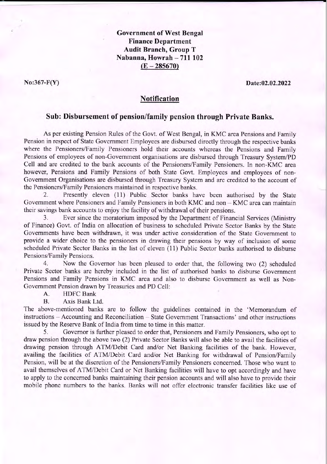**Government of West Bengal Finance Department Audit Branch, Group T** Nabanna, Howrah - 711 102  $(E - 285670)$ 

 $No:367-F(Y)$ 

Date:02.02.2022

## **Notification**

## Sub: Disbursement of pension/family pension through Private Banks.

As per existing Pension Rules of the Govt. of West Bengal, in KMC area Pensions and Family Pension in respect of State Government Employees are disbursed directly through the respective banks where the Pensioners/Family Pensioners hold their accounts whereas the Pensions and Family Pensions of employees of non-Government organisations are disbursed through Treasury System/PD Cell and are credited to the bank accounts of the Pensioners/Family Pensioners. In non-KMC area however, Pensions and Family Pensions of both State Govt. Employees and employees of non-Government Organisations are disbursed through Treasury System and are credited to the account of the Pensioners/Family Pensioners maintained in respective banks.

Presently eleven (11) Public Sector banks have been authorised by the State  $2.$ Government where Pensioners and Family Pensioners in both KMC and non - KMC area can maintain their savings bank accounts to enjoy the facility of withdrawal of their pensions.

Ever since the moratorium imposed by the Department of Financial Services (Ministry  $3.$ of Finance) Govt. of India on allocation of business to scheduled Private Sector Banks by the State Governments have been withdrawn, it was under active consideration of the State Government to provide a wider choice to the pensioners in drawing their pensions by way of inclusion of some scheduled Private Sector Banks in the list of eleven (11) Public Sector banks authorised to disburse Pensions/Family Pensions.

Now the Governor has been pleased to order that, the following two (2) scheduled  $4.$ Private Sector banks are hereby included in the list of authorised banks to disburse Government Pensions and Family Pensions in KMC area and also to disburse Government as well as Non-Government Pension drawn by Treasuries and PD Cell:

A. **HDFC** Bank

**B.** Axis Bank Ltd.

The above-mentioned banks are to follow the guidelines contained in the 'Memorandum of instructions – Accounting and Reconciliation – State Government Transactions' and other instructions issued by the Reserve Bank of India from time to time in this matter.

5. Governor is further pleased to order that, Pensioners and Family Pensioners, who opt to draw pension through the above two (2) Private Sector Banks will also be able to avail the facilities of drawing pension through ATM/Debit Card and/or Net Banking facilities of the bank. However, availing the facilities of ATM/Debit Card and/or Net Banking for withdrawal of Pension/Family Pension, will be at the discretion of the Pensioners/Family Pensioners concerned. Those who want to avail themselves of ATM/Debit Card or Net Banking facilities will have to opt accordingly and have to apply to the concerned banks maintaining their pension accounts and will also have to provide their mobile phone numbers to the banks. Banks will not offer electronic transfer facilities like use of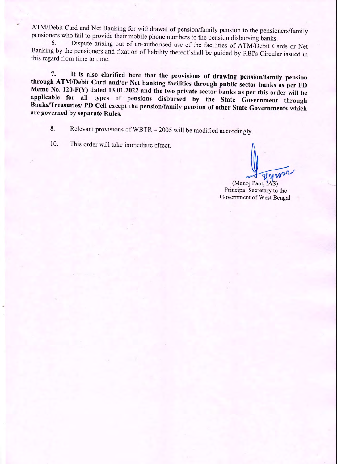ATM/Debit Card and Net Banking for withdrawal of pension/family pension to the pensioners/family pensioners who fail to provide their mobile phone numbers to the pension disbursing banks.

Dispute arising out of un-authorised use of the facilities of ATM/Debit Cards or Net 6. Banking by the pensioners and fixation of liability thereof shall be guided by RBI's Circular issued in this regard from time to time.

It is also clarified here that the provisions of drawing pension/family pension 7. through ATM/Debit Card and/or Net banking facilities through public sector banks as per FD Memo No. 120-F(Y) dated 13.01.2022 and the two private sector banks as per this order will be applicable for all types of pensions disbursed by the State Government through Banks/Treasuries/ PD Cell except the pension/family pension of other State Governments which are governed by separate Rules.

Relevant provisions of WBTR - 2005 will be modified accordingly. 8.

10. This order will take immediate effect.

(Manoj Pant, IAS) Principal Secretary to the Government of West Bengal